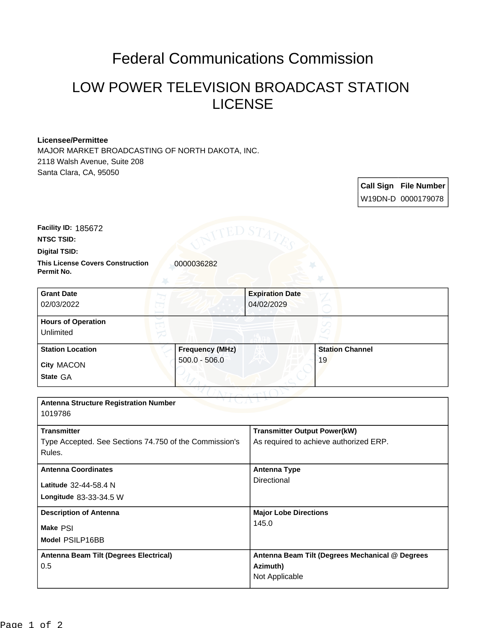## Federal Communications Commission

## LOW POWER TELEVISION BROADCAST STATION LICENSE

## **Licensee/Permittee**

MAJOR MARKET BROADCASTING OF NORTH DAKOTA, INC. 2118 Walsh Avenue, Suite 208 Santa Clara, CA, 95050

> **Call Sign File Number** W19DN-D 0000179078

**Facility ID:** 185672

**NTSC TSID:**

**Digital TSID:**

**This License Covers Construction**  0000036282 **Permit No.**

| <b>Grant Date</b><br>02/03/2022        |                        | <b>Expiration Date</b><br>04/02/2029 |  |
|----------------------------------------|------------------------|--------------------------------------|--|
| <b>Hours of Operation</b><br>Unlimited |                        |                                      |  |
| <b>Station Location</b>                | <b>Frequency (MHz)</b> | <b>Station Channel</b>               |  |
| <b>City MACON</b><br>State GA          | $500.0 - 506.0$        | 19                                   |  |

| <b>Antenna Structure Registration Number</b>    |  |  |  |
|-------------------------------------------------|--|--|--|
| 1019786                                         |  |  |  |
| <b>Transmitter Output Power(kW)</b>             |  |  |  |
| As required to achieve authorized ERP.          |  |  |  |
|                                                 |  |  |  |
| Antenna Type                                    |  |  |  |
| Directional                                     |  |  |  |
|                                                 |  |  |  |
| <b>Major Lobe Directions</b>                    |  |  |  |
| 145.0                                           |  |  |  |
|                                                 |  |  |  |
| Antenna Beam Tilt (Degrees Mechanical @ Degrees |  |  |  |
| Azimuth)                                        |  |  |  |
| Not Applicable                                  |  |  |  |
|                                                 |  |  |  |